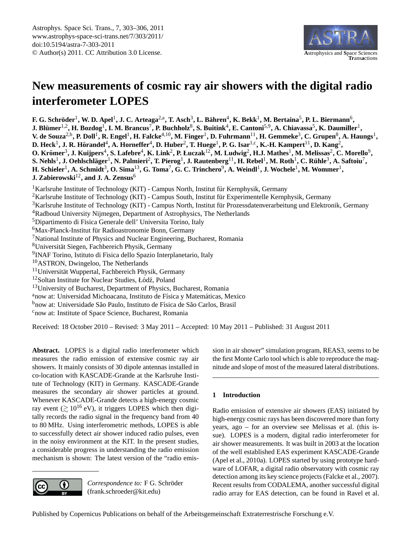

# <span id="page-0-0"></span>**New measurements of cosmic ray air showers with the digital radio interferometer LOPES**

 $F$ . G. Schröder<sup>1</sup>, W. D. Apel<sup>1</sup>, J. C. Arteaga<sup>2,a</sup>, T. Asch<sup>3</sup>, L. Bähren<sup>4</sup>, K. Bekk<sup>1</sup>, M. Bertaina<sup>5</sup>, P. L. Biermann<sup>6</sup>,  ${\bf J.~Blümer}^{1,2},{\bf H.~Bozdog}^1,{\bf I.~M.~Brancus}^7,{\bf P.~Buchholz}^8,{\bf S.~Buitink}^4,{\bf E.~Cantoni}^{5,9},{\bf A.~Chiavassa}^5,{\bf K.~Daumiller}^1,{\bf A.~Chiavassa}^3,{\bf E.~B.}$  $V$ . de Souza<sup>2,b</sup>, P. Doll<sup>1</sup>, R. Engel<sup>1</sup>, H. Falcke<sup>4,10</sup>, M. Finger<sup>1</sup>, D. Fuhrmann<sup>11</sup>, H. Gemmeke<sup>3</sup>, C. Grupen<sup>8</sup>, A. Haungs<sup>1</sup>, D. Heck<sup>1</sup>, J. R. Hörandel<sup>4</sup>, A. Horneffer<sup>4</sup>, D. Huber<sup>2</sup>, T. Huege<sup>1</sup>, P. G. Isar<sup>1,c</sup>, K.-H. Kampert<sup>11</sup>, D. Kang<sup>2</sup>,  ${\bf O}$ . Krömer $^3$ , J. Kuijpers $^4$ , S. Lafebre $^4$ , K. Link $^2$ , P. Łuczak $^{12}$ , M. Ludwig $^2$ , H.J. Mathes $^1$ , M. Melissas $^2$ , C. Morello $^9$ ,  ${\bf S.~Nehls^1, J.~Oehlschläger^1, N.~Palmieri^2, T.~Pierog^1, J.~Rautenberg^{11}, H.~Rebel^1, M.~Roth^1, C.~Rühle^3, A.~Saftoiu^7,$  $\bf H.$  Schieler<sup>1</sup>, A. Schmidt<sup>3</sup>, O. Sima<sup>13</sup>, G. Toma<sup>7</sup>, G. C. Trinchero<sup>9</sup>, A. Weindl<sup>1</sup>, J. Wochele<sup>1</sup>, M. Wommer<sup>1</sup>, **J. Zabierowski**12**, and J. A. Zensus**<sup>6</sup> <sup>1</sup>Karlsruhe Institute of Technology (KIT) - Campus North, Institut für Kernphysik, Germany <sup>2</sup>Karlsruhe Institute of Technology (KIT) - Campus South, Institut für Experimentelle Kernphysik, Germany <sup>3</sup>Karlsruhe Institute of Technology (KIT) - Campus North, Institut für Prozessdatenverarbeitung und Elektronik, Germany <sup>4</sup>Radboud University Nijmegen, Department of Astrophysics, The Netherlands <sup>5</sup>Dipartimento di Fisica Generale dell' Universita Torino, Italy <sup>6</sup>Max-Planck-Institut für Radioastronomie Bonn, Germany <sup>7</sup>National Institute of Physics and Nuclear Engineering, Bucharest, Romania <sup>8</sup>Universitat Siegen, Fachbereich Physik, Germany ¨ <sup>9</sup>INAF Torino, Istituto di Fisica dello Spazio Interplanetario, Italy <sup>10</sup>ASTRON, Dwingeloo, The Netherlands  $11$ Universität Wuppertal, Fachbereich Physik, Germany  $12$ Soltan Institute for Nuclear Studies, Łódź, Poland <sup>13</sup>University of Bucharest, Department of Physics, Bucharest, Romania <sup>a</sup>now at: Universidad Michoacana, Instituto de Física y Matemáticas, Mexico <sup>b</sup>now at: Universidade São Paulo, Instituto de Física de São Carlos, Brasil

<sup>c</sup>now at: Institute of Space Science, Bucharest, Romania

Received: 18 October 2010 – Revised: 3 May 2011 – Accepted: 10 May 2011 – Published: 31 August 2011

**Abstract.** LOPES is a digital radio interferometer which measures the radio emission of extensive cosmic ray air showers. It mainly consists of 30 dipole antennas installed in co-location with KASCADE-Grande at the Karlsruhe Institute of Technology (KIT) in Germany. KASCADE-Grande measures the secondary air shower particles at ground. Whenever KASCADE-Grande detects a high-energy cosmic ray event  $($   $\geq 10^{16}$  eV), it triggers LOPES which then digitally records the radio signal in the frequency band from 40 to 80 MHz. Using interferometric methods, LOPES is able to successfully detect air shower induced radio pulses, even in the noisy environment at the KIT. In the present studies, a considerable progress in understanding the radio emission mechanism is shown: The latest version of the "radio emis-



 $Correspondence to: F G. Schröder$ (frank.schroeder@kit.edu)

sion in air shower" simulation program, REAS3, seems to be the first Monte Carlo tool which is able to reproduce the magnitude and slope of most of the measured lateral distributions.

## **1 Introduction**

Radio emission of extensive air showers (EAS) initiated by high-energy cosmic rays has been discovered more than forty years, ago – for an overview see [Melissas et al.](#page-3-0) [\(this is](#page-3-0)[sue\)](#page-3-0). LOPES is a modern, digital radio interferometer for air shower measurements. It was built in 2003 at the location of the well established EAS experiment KASCADE-Grande [\(Apel et al.,](#page-3-1) [2010a\)](#page-3-1). LOPES started by using prototype hardware of LOFAR, a digital radio observatory with cosmic ray detection among its key science projects [\(Falcke et al.,](#page-3-2) [2007\)](#page-3-2). Recent results from CODALEMA, another successful digital radio array for EAS detection, can be found in [Ravel et al.](#page-3-3)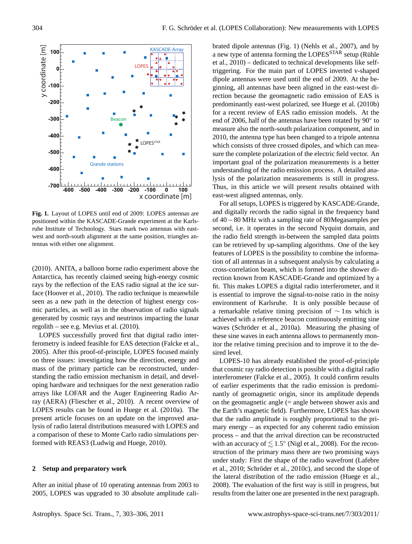

<span id="page-1-0"></span>**Fig. 1.** Layout of LOPES until end of 2009: LOPES antennas are positioned within the KASCADE-Grande experiment at the Karlsruhe Institute of Technology. Stars mark two antennas with eastwest and north-south alignment at the same position, triangles antennas with either one alignment.

[\(2010\)](#page-3-3). ANITA, a balloon borne radio experiment above the Antarctica, has recently claimed seeing high-energy cosmic rays by the reflection of the EAS radio signal at the ice surface [\(Hoover et al.,](#page-3-4) [2010\)](#page-3-4). The radio technique is meanwhile seen as a new path in the detection of highest energy cosmic particles, as well as in the observation of radio signals generated by cosmic rays and neutrinos impacting the lunar regolith – see e.g. [Mevius et al.](#page-3-5) [\(2010\)](#page-3-5).

LOPES successfully proved first that digital radio interferometry is indeed feasible for EAS detection [\(Falcke et al.,](#page-3-6) [2005\)](#page-3-6). After this proof-of-principle, LOPES focused mainly on three issues: investigating how the direction, energy and mass of the primary particle can be reconstructed, understanding the radio emission mechanism in detail, and developing hardware and techniques for the next generation radio arrays like LOFAR and the Auger Engineering Radio Array (AERA) [\(Fliescher et al.,](#page-3-7) [2010\)](#page-3-7). A recent overview of LOPES results can be found in [Huege et al.](#page-3-8) [\(2010a\)](#page-3-8). The present article focuses on an update on the improved analysis of radio lateral distributions measured with LOPES and a comparison of these to Monte Carlo radio simulations performed with REAS3 [\(Ludwig and Huege,](#page-3-9) [2010\)](#page-3-9).

#### **2 Setup and preparatory work**

After an initial phase of 10 operating antennas from 2003 to 2005, LOPES was upgraded to 30 absolute amplitude calibrated dipole antennas (Fig. [1\)](#page-1-0) [\(Nehls et al.,](#page-3-10) [2007\)](#page-3-10), and by a new type of antenna forming the LOPES<sup>STAR</sup> setup (Rühle [et al.,](#page-3-11) [2010\)](#page-3-11) – dedicated to technical developments like selftriggering. For the main part of LOPES inverted v-shaped dipole antennas were used until the end of 2009. At the beginning, all antennas have been aligned in the east-west direction because the geomagnetic radio emission of EAS is predominantly east-west polarized, see [Huege et al.](#page-3-12) [\(2010b\)](#page-3-12) for a recent review of EAS radio emission models. At the end of 2006, half of the antennas have been rotated by 90° to measure also the north-south polarization component, and in 2010, the antenna type has been changed to a tripole antenna which consists of three crossed dipoles, and which can measure the complete polarization of the electric field vector. An important goal of the polarization measurements is a better understanding of the radio emission process. A detailed analysis of the polarization measurements is still in progress. Thus, in this article we will present results obtained with east-west aligned antennas, only.

For all setups, LOPES is triggered by KASCADE-Grande, and digitally records the radio signal in the frequency band of 40−80 MHz with a sampling rate of 80Megasamples per second, i.e. it operates in the second Nyquist domain, and the radio field strength in-between the sampled data points can be retrieved by up-sampling algorithms. One of the key features of LOPES is the possibility to combine the information of all antennas in a subsequent analysis by calculating a cross-correlation beam, which is formed into the shower direction known from KASCADE-Grande and optimized by a fit. This makes LOPES a digital radio interferometer, and it is essential to improve the signal-to-noise ratio in the noisy environment of Karlsruhe. It is only possible because of a remarkable relative timing precision of ∼ 1ns which is achieved with a reference beacon continuously emitting sine waves (Schröder et al., [2010a\)](#page-3-13). Measuring the phasing of these sine waves in each antenna allows to permanently monitor the relative timing precision and to improve it to the desired level.

LOPES-10 has already established the proof-of-principle that cosmic ray radio detection is possible with a digital radio interferometer [\(Falcke et al.,](#page-3-6) [2005\)](#page-3-6). It could confirm results of earlier experiments that the radio emission is predominantly of geomagnetic origin, since its amplitude depends on the geomagnetic angle  $(=$  angle between shower axis and the Earth's magnetic field). Furthermore, LOPES has shown that the radio amplitude is roughly proportional to the primary energy – as expected for any coherent radio emission process – and that the arrival direction can be reconstructed with an accuracy of  $\lesssim 1.5^{\circ}$  [\(Nigl et al.,](#page-3-14) [2008\)](#page-3-14). For the reconstruction of the primary mass there are two promising ways under study: First the shape of the radio wavefront [\(Lafebre](#page-3-15) [et al.,](#page-3-15) [2010;](#page-3-15) Schröder et al., [2010c\)](#page-3-16), and second the slope of the lateral distribution of the radio emission [\(Huege et al.,](#page-3-17) [2008\)](#page-3-17). The evaluation of the first way is still in progress, but results from the latter one are presented in the next paragraph.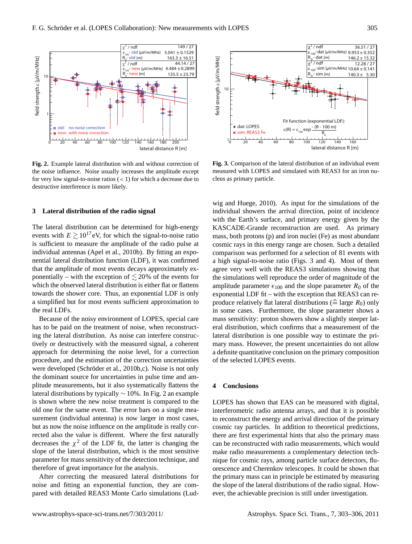

<span id="page-2-0"></span>**Fig. 2.** Example lateral distribution with and without correction of the noise influence. Noise usually increases the amplitude except for very low signal-to-noise ratios  $(< 1)$  for which a decrease due to destructive interference is more likely.

#### **3 Lateral distribution of the radio signal**

The lateral distribution can be determined for high-energy events with  $E \gtrsim 10^{17}$  eV, for which the signal-to-noise ratio is sufficient to measure the amplitude of the radio pulse at individual antennas [\(Apel et al.,](#page-3-18) [2010b\)](#page-3-18). By fitting an exponential lateral distribution function (LDF), it was confirmed that the amplitude of most events decays approximately exponentially – with the exception of  $\leq 20\%$  of the events for which the observed lateral distribution is either flat or flattens towards the shower core. Thus, an exponential LDF is only a simplified but for most events sufficient approximation to the real LDFs.

Because of the noisy environment of LOPES, special care has to be paid on the treatment of noise, when reconstructing the lateral distribution. As noise can interfere constructively or destructively with the measured signal, a coherent approach for determining the noise level, for a correction procedure, and the estimation of the correction uncertainties were developed (Schröder et al., [2010b,](#page-3-19)[c\)](#page-3-16). Noise is not only the dominant source for uncertainties in pulse time and amplitude measurements, but it also systematically flattens the lateral distributions by typically ∼ 10%. In Fig. [2](#page-2-0) an example is shown where the new noise treatment is compared to the old one for the same event. The error bars on a single measurement (individual antenna) is now larger in most cases, but as now the noise influence on the amplitude is really corrected also the value is different. Where the first naturally decreases the  $\chi^2$  of the LDF fit, the latter is changing the slope of the lateral distribution, which is the most sensitive parameter for mass sensitivity of the detection technique, and therefore of great importance for the analysis.

After correcting the measured lateral distributions for noise and fitting an exponential function, they are compared with detailed REAS3 Monte Carlo simulations [\(Lud-](#page-3-9)



<span id="page-2-1"></span>**Fig. 3.** Comparison of the lateral distribution of an individual event measured with LOPES and simulated with REAS3 for an iron nucleus as primary particle.

[wig and Huege,](#page-3-9) [2010\)](#page-3-9). As input for the simulations of the individual showers the arrival direction, point of incidence with the Earth's surface, and primary energy given by the KASCADE-Grande reconstruction are used. As primary mass, both protons (p) and iron nuclei (Fe) as most abundant cosmic rays in this energy range are chosen. Such a detailed comparison was performed for a selection of 81 events with a high signal-to-noise ratio (Figs. [3](#page-2-1) and [4\)](#page-3-20). Most of them agree very well with the REAS3 simulations showing that the simulations well reproduce the order of magnitude of the amplitude parameter  $\epsilon_{100}$  and the slope parameter  $R_0$  of the exponential LDF fit – with the exception that REAS3 can reproduce relatively flat lateral distributions ( $\widehat{=}$  large  $R_0$ ) only in some cases. Furthermore, the slope parameter shows a mass sensitivity: proton showers show a slightly steeper lateral distribution, which confirms that a measurement of the lateral distribution is one possible way to estimate the primary mass. However, the present uncertainties do not allow a definite quantitative conclusion on the primary composition of the selected LOPES events.

#### **4 Conclusions**

LOPES has shown that EAS can be measured with digital, interferometric radio antenna arrays, and that it is possible to reconstruct the energy and arrival direction of the primary cosmic ray particles. In addition to theoretical predictions, there are first experimental hints that also the primary mass can be reconstructed with radio measurements, which would make radio measurements a complementary detection technique for cosmic rays, among particle surface detectors, fluorescence and Cherenkov telescopes. It could be shown that the primary mass can in principle be estimated by measuring the slope of the lateral distributions of the radio signal. However, the achievable precision is still under investigation.